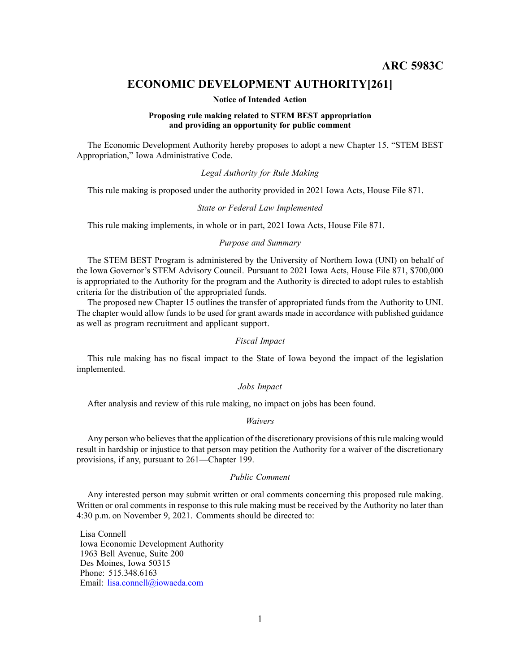# **ECONOMIC DEVELOPMENT AUTHORITY[261]**

#### **Notice of Intended Action**

## **Proposing rule making related to STEM BEST appropriation and providing an opportunity for public comment**

The Economic Development Authority hereby proposes to adopt <sup>a</sup> new Chapter 15, "STEM BEST Appropriation," Iowa Administrative Code.

# *Legal Authority for Rule Making*

This rule making is proposed under the authority provided in 2021 Iowa Acts, House File 871.

#### *State or Federal Law Implemented*

This rule making implements, in whole or in part, 2021 Iowa Acts, House File 871.

# *Purpose and Summary*

The STEM BEST Program is administered by the University of Northern Iowa (UNI) on behalf of the Iowa Governor's STEM Advisory Council. Pursuant to 2021 Iowa Acts, House File 871, \$700,000 is appropriated to the Authority for the program and the Authority is directed to adopt rules to establish criteria for the distribution of the appropriated funds.

The proposed new Chapter 15 outlines the transfer of appropriated funds from the Authority to UNI. The chapter would allow funds to be used for gran<sup>t</sup> awards made in accordance with published guidance as well as program recruitment and applicant support.

# *Fiscal Impact*

This rule making has no fiscal impact to the State of Iowa beyond the impact of the legislation implemented.

## *Jobs Impact*

After analysis and review of this rule making, no impact on jobs has been found.

#### *Waivers*

Any person who believes that the application of the discretionary provisions of this rule making would result in hardship or injustice to that person may petition the Authority for <sup>a</sup> waiver of the discretionary provisions, if any, pursuan<sup>t</sup> to 261—Chapter 199.

## *Public Comment*

Any interested person may submit written or oral comments concerning this proposed rule making. Written or oral comments in response to this rule making must be received by the Authority no later than 4:30 p.m. on November 9, 2021. Comments should be directed to:

Lisa Connell Iowa Economic Development Authority 1963 Bell Avenue, Suite 200 Des Moines, Iowa 50315 Phone: 515.348.6163 Email: [lisa.connell@iowaeda.com](mailto:lisa.connell@iowaeda.com)